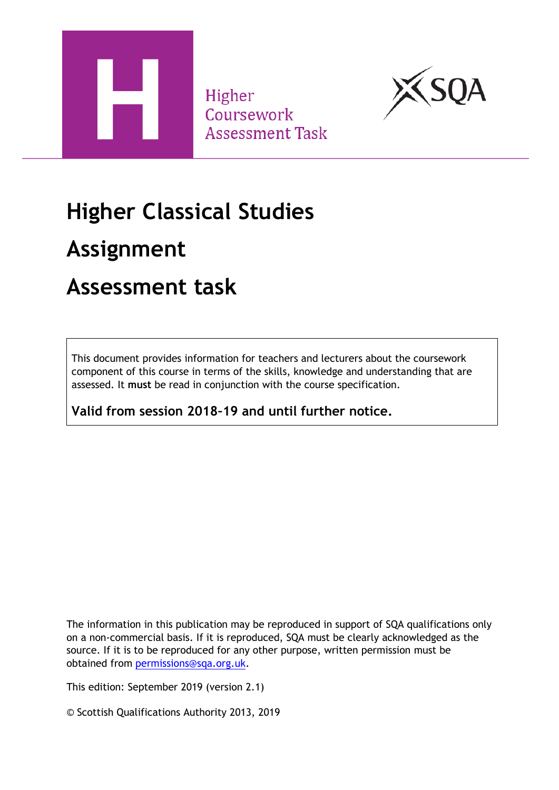

Higher Coursework **Assessment Task** 



# **Higher Classical Studies**

## **Assignment**

### **Assessment task**

This document provides information for teachers and lecturers about the coursework component of this course in terms of the skills, knowledge and understanding that are assessed. It **must** be read in conjunction with the course specification.

**Valid from session 2018–19 and until further notice.** 

The information in this publication may be reproduced in support of SQA qualifications only on a non-commercial basis. If it is reproduced, SQA must be clearly acknowledged as the source. If it is to be reproduced for any other purpose, written permission must be obtained from [permissions@sqa.org.uk.](mailto:permissions@sqa.org.uk)

This edition: September 2019 (version 2.1)

© Scottish Qualifications Authority 2013, 2019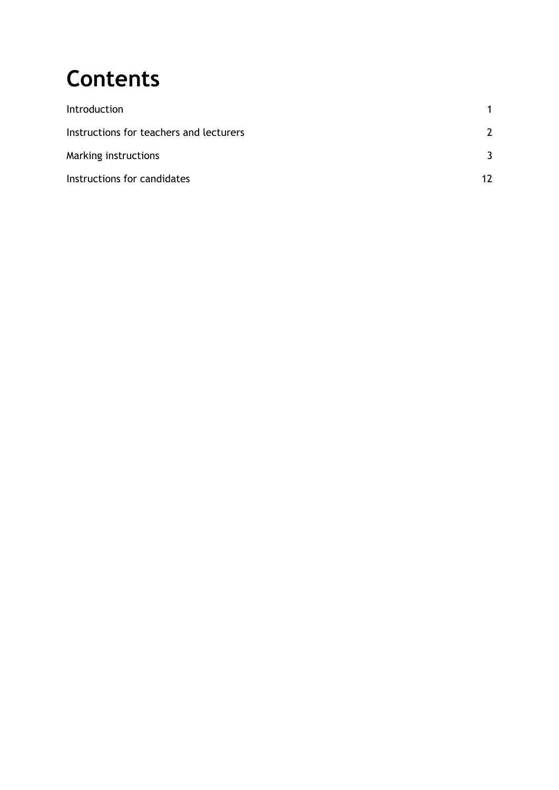# **Contents**

| Introduction                            |    |
|-----------------------------------------|----|
| Instructions for teachers and lecturers | 7  |
| Marking instructions                    |    |
| Instructions for candidates             | 17 |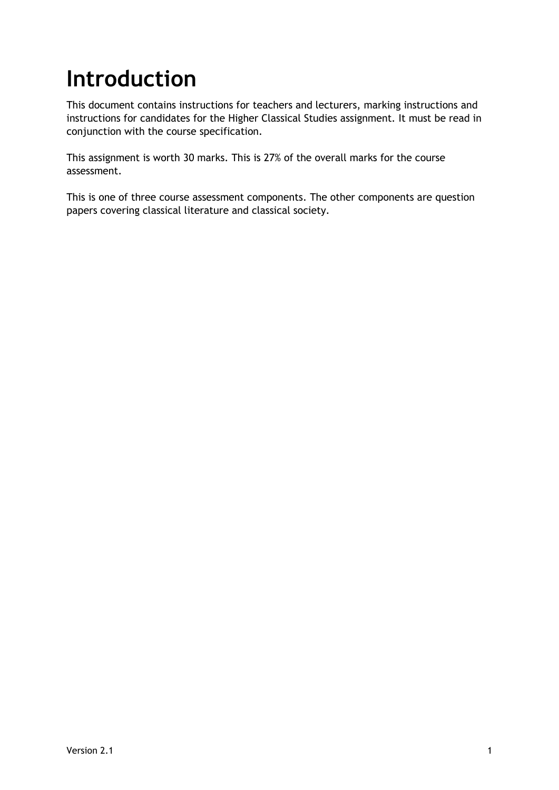# <span id="page-2-0"></span>**Introduction**

This document contains instructions for teachers and lecturers, marking instructions and instructions for candidates for the Higher Classical Studies assignment. It must be read in conjunction with the course specification.

This assignment is worth 30 marks. This is 27% of the overall marks for the course assessment.

This is one of three course assessment components. The other components are question papers covering classical literature and classical society.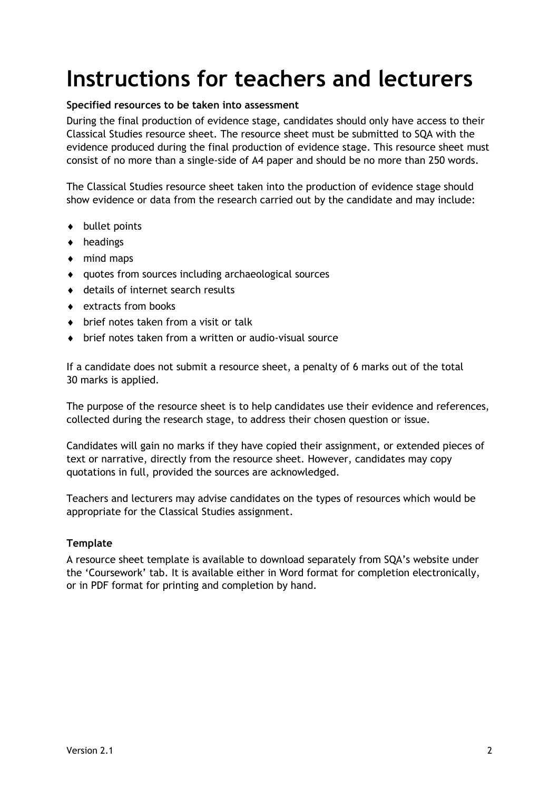## <span id="page-3-0"></span>**Instructions for teachers and lecturers**

#### **Specified resources to be taken into assessment**

During the final production of evidence stage, candidates should only have access to their Classical Studies resource sheet. The resource sheet must be submitted to SQA with the evidence produced during the final production of evidence stage. This resource sheet must consist of no more than a single-side of A4 paper and should be no more than 250 words.

The Classical Studies resource sheet taken into the production of evidence stage should show evidence or data from the research carried out by the candidate and may include:

- ◆ bullet points
- headings
- ◆ mind maps
- quotes from sources including archaeological sources
- details of internet search results
- $\bullet$  extracts from books
- ◆ brief notes taken from a visit or talk
- brief notes taken from a written or audio-visual source

If a candidate does not submit a resource sheet, a penalty of 6 marks out of the total 30 marks is applied.

The purpose of the resource sheet is to help candidates use their evidence and references, collected during the research stage, to address their chosen question or issue.

Candidates will gain no marks if they have copied their assignment, or extended pieces of text or narrative, directly from the resource sheet. However, candidates may copy quotations in full, provided the sources are acknowledged.

Teachers and lecturers may advise candidates on the types of resources which would be appropriate for the Classical Studies assignment.

#### **Template**

A resource sheet template is available to download separately from SQA's website under the 'Coursework' tab. It is available either in Word format for completion electronically, or in PDF format for printing and completion by hand.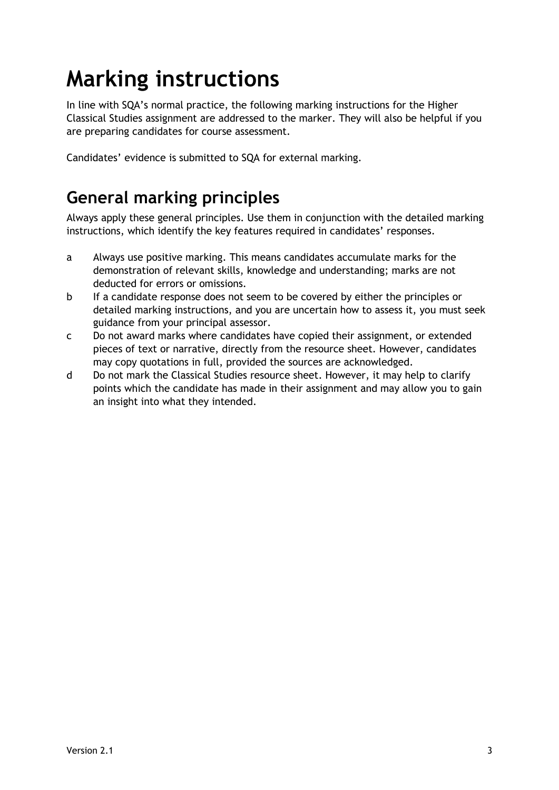# <span id="page-4-0"></span>**Marking instructions**

In line with SQA's normal practice, the following marking instructions for the Higher Classical Studies assignment are addressed to the marker. They will also be helpful if you are preparing candidates for course assessment.

Candidates' evidence is submitted to SQA for external marking.

### **General marking principles**

Always apply these general principles. Use them in conjunction with the detailed marking instructions, which identify the key features required in candidates' responses.

- a Always use positive marking. This means candidates accumulate marks for the demonstration of relevant skills, knowledge and understanding; marks are not deducted for errors or omissions.
- b If a candidate response does not seem to be covered by either the principles or detailed marking instructions, and you are uncertain how to assess it, you must seek guidance from your principal assessor.
- c Do not award marks where candidates have copied their assignment, or extended pieces of text or narrative, directly from the resource sheet. However, candidates may copy quotations in full, provided the sources are acknowledged.
- d Do not mark the Classical Studies resource sheet. However, it may help to clarify points which the candidate has made in their assignment and may allow you to gain an insight into what they intended.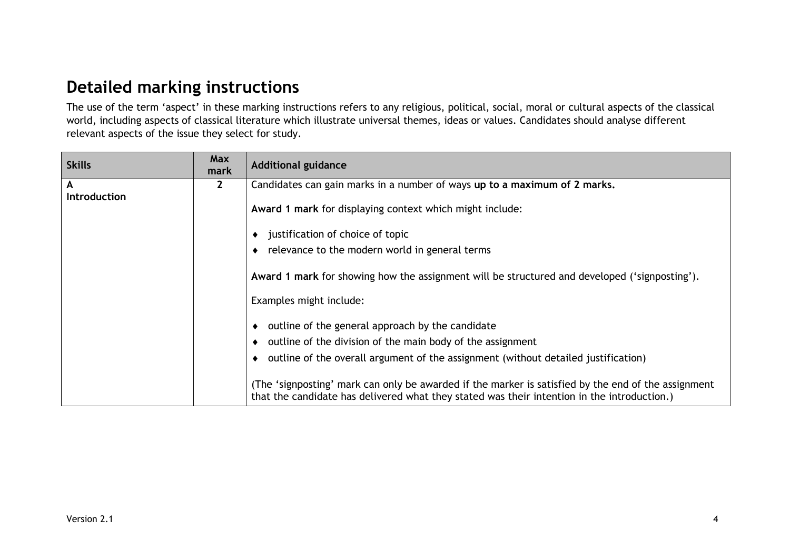### **Detailed marking instructions**

The use of the term 'aspect' in these marking instructions refers to any religious, political, social, moral or cultural aspects of the classical world, including aspects of classical literature which illustrate universal themes, ideas or values. Candidates should analyse different relevant aspects of the issue they select for study.

| <b>Skills</b>       | Max<br>mark  | <b>Additional guidance</b>                                                                          |
|---------------------|--------------|-----------------------------------------------------------------------------------------------------|
| A                   | $\mathbf{2}$ | Candidates can gain marks in a number of ways up to a maximum of 2 marks.                           |
| <b>Introduction</b> |              |                                                                                                     |
|                     |              | Award 1 mark for displaying context which might include:                                            |
|                     |              |                                                                                                     |
|                     |              | justification of choice of topic<br>٠                                                               |
|                     |              | relevance to the modern world in general terms                                                      |
|                     |              |                                                                                                     |
|                     |              | Award 1 mark for showing how the assignment will be structured and developed ('signposting').       |
|                     |              |                                                                                                     |
|                     |              | Examples might include:                                                                             |
|                     |              |                                                                                                     |
|                     |              | outline of the general approach by the candidate                                                    |
|                     |              | outline of the division of the main body of the assignment                                          |
|                     |              | outline of the overall argument of the assignment (without detailed justification)                  |
|                     |              |                                                                                                     |
|                     |              | (The 'signposting' mark can only be awarded if the marker is satisfied by the end of the assignment |
|                     |              | that the candidate has delivered what they stated was their intention in the introduction.)         |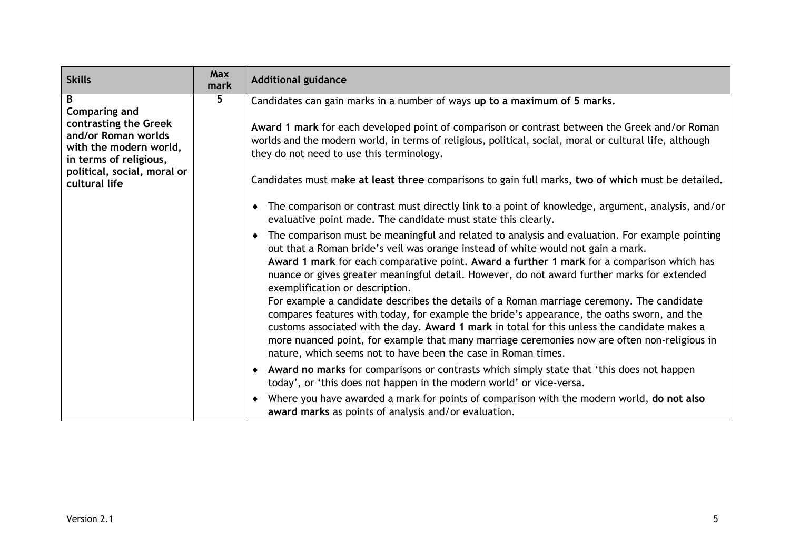| <b>Skills</b>                                                           | Max<br>mark | <b>Additional guidance</b>                                                                                                                                                                                                                                                                                                                                                                                                                               |
|-------------------------------------------------------------------------|-------------|----------------------------------------------------------------------------------------------------------------------------------------------------------------------------------------------------------------------------------------------------------------------------------------------------------------------------------------------------------------------------------------------------------------------------------------------------------|
| B<br>Comparing and<br>contrasting the Greek                             | 5           | Candidates can gain marks in a number of ways up to a maximum of 5 marks.<br>Award 1 mark for each developed point of comparison or contrast between the Greek and/or Roman                                                                                                                                                                                                                                                                              |
| and/or Roman worlds<br>with the modern world,<br>in terms of religious, |             | worlds and the modern world, in terms of religious, political, social, moral or cultural life, although<br>they do not need to use this terminology.                                                                                                                                                                                                                                                                                                     |
| political, social, moral or<br>cultural life                            |             | Candidates must make at least three comparisons to gain full marks, two of which must be detailed.                                                                                                                                                                                                                                                                                                                                                       |
|                                                                         |             | The comparison or contrast must directly link to a point of knowledge, argument, analysis, and/or<br>٠<br>evaluative point made. The candidate must state this clearly.                                                                                                                                                                                                                                                                                  |
|                                                                         |             | The comparison must be meaningful and related to analysis and evaluation. For example pointing<br>out that a Roman bride's veil was orange instead of white would not gain a mark.<br>Award 1 mark for each comparative point. Award a further 1 mark for a comparison which has<br>nuance or gives greater meaningful detail. However, do not award further marks for extended<br>exemplification or description.                                       |
|                                                                         |             | For example a candidate describes the details of a Roman marriage ceremony. The candidate<br>compares features with today, for example the bride's appearance, the oaths sworn, and the<br>customs associated with the day. Award 1 mark in total for this unless the candidate makes a<br>more nuanced point, for example that many marriage ceremonies now are often non-religious in<br>nature, which seems not to have been the case in Roman times. |
|                                                                         |             | • Award no marks for comparisons or contrasts which simply state that 'this does not happen<br>today', or 'this does not happen in the modern world' or vice-versa.                                                                                                                                                                                                                                                                                      |
|                                                                         |             | Where you have awarded a mark for points of comparison with the modern world, do not also<br>award marks as points of analysis and/or evaluation.                                                                                                                                                                                                                                                                                                        |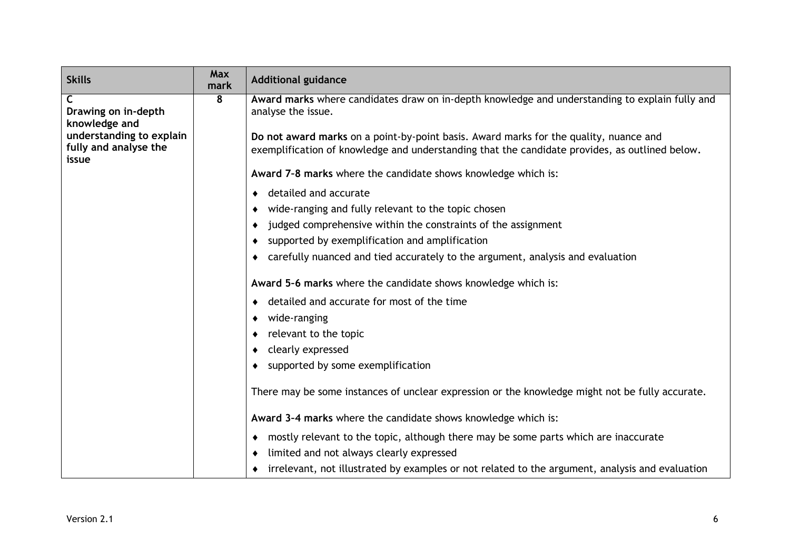| <b>Skills</b>                                              | Max<br>mark | <b>Additional guidance</b>                                                                                                                                                              |
|------------------------------------------------------------|-------------|-----------------------------------------------------------------------------------------------------------------------------------------------------------------------------------------|
| C<br>Drawing on in-depth<br>knowledge and                  | 8           | Award marks where candidates draw on in-depth knowledge and understanding to explain fully and<br>analyse the issue.                                                                    |
| understanding to explain<br>fully and analyse the<br>issue |             | Do not award marks on a point-by-point basis. Award marks for the quality, nuance and<br>exemplification of knowledge and understanding that the candidate provides, as outlined below. |
|                                                            |             | Award 7-8 marks where the candidate shows knowledge which is:                                                                                                                           |
|                                                            |             | detailed and accurate<br>٠                                                                                                                                                              |
|                                                            |             | wide-ranging and fully relevant to the topic chosen<br>٠                                                                                                                                |
|                                                            |             | judged comprehensive within the constraints of the assignment<br>٠                                                                                                                      |
|                                                            |             | supported by exemplification and amplification<br>٠                                                                                                                                     |
|                                                            |             | carefully nuanced and tied accurately to the argument, analysis and evaluation<br>٠                                                                                                     |
|                                                            |             | Award 5-6 marks where the candidate shows knowledge which is:                                                                                                                           |
|                                                            |             | detailed and accurate for most of the time<br>٠                                                                                                                                         |
|                                                            |             | wide-ranging<br>٠                                                                                                                                                                       |
|                                                            |             | relevant to the topic<br>٠                                                                                                                                                              |
|                                                            |             | clearly expressed<br>٠                                                                                                                                                                  |
|                                                            |             | supported by some exemplification<br>٠                                                                                                                                                  |
|                                                            |             | There may be some instances of unclear expression or the knowledge might not be fully accurate.                                                                                         |
|                                                            |             | Award 3-4 marks where the candidate shows knowledge which is:                                                                                                                           |
|                                                            |             | mostly relevant to the topic, although there may be some parts which are inaccurate<br>٠                                                                                                |
|                                                            |             | limited and not always clearly expressed<br>٠                                                                                                                                           |
|                                                            |             | irrelevant, not illustrated by examples or not related to the argument, analysis and evaluation<br>٠                                                                                    |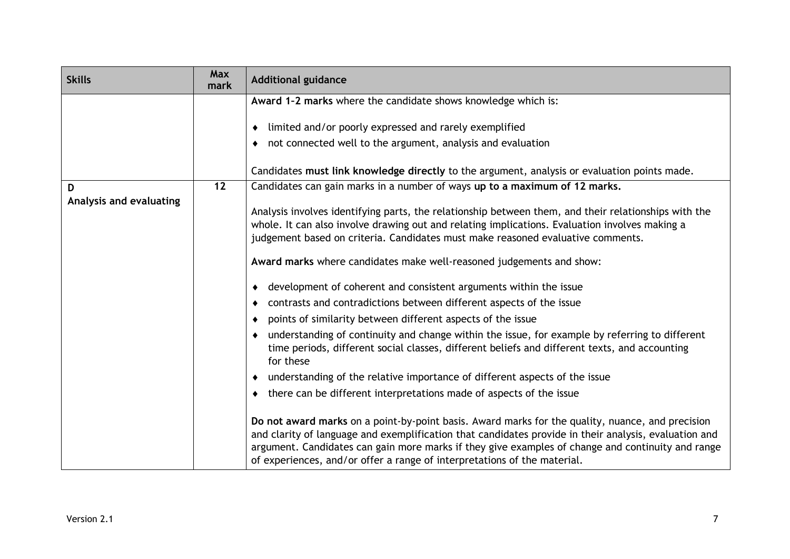| <b>Skills</b>           | <b>Max</b><br>mark | <b>Additional guidance</b>                                                                                                                                                                                                                                                                                                                                                                 |
|-------------------------|--------------------|--------------------------------------------------------------------------------------------------------------------------------------------------------------------------------------------------------------------------------------------------------------------------------------------------------------------------------------------------------------------------------------------|
|                         |                    | Award 1-2 marks where the candidate shows knowledge which is:                                                                                                                                                                                                                                                                                                                              |
|                         |                    | limited and/or poorly expressed and rarely exemplified<br>٠                                                                                                                                                                                                                                                                                                                                |
|                         |                    | not connected well to the argument, analysis and evaluation                                                                                                                                                                                                                                                                                                                                |
|                         |                    | Candidates must link knowledge directly to the argument, analysis or evaluation points made.                                                                                                                                                                                                                                                                                               |
| D                       | $\overline{12}$    | Candidates can gain marks in a number of ways up to a maximum of 12 marks.                                                                                                                                                                                                                                                                                                                 |
| Analysis and evaluating |                    | Analysis involves identifying parts, the relationship between them, and their relationships with the<br>whole. It can also involve drawing out and relating implications. Evaluation involves making a<br>judgement based on criteria. Candidates must make reasoned evaluative comments.                                                                                                  |
|                         |                    | Award marks where candidates make well-reasoned judgements and show:                                                                                                                                                                                                                                                                                                                       |
|                         |                    | • development of coherent and consistent arguments within the issue                                                                                                                                                                                                                                                                                                                        |
|                         |                    | contrasts and contradictions between different aspects of the issue<br>٠                                                                                                                                                                                                                                                                                                                   |
|                         |                    | points of similarity between different aspects of the issue<br>٠                                                                                                                                                                                                                                                                                                                           |
|                         |                    | understanding of continuity and change within the issue, for example by referring to different<br>time periods, different social classes, different beliefs and different texts, and accounting<br>for these                                                                                                                                                                               |
|                         |                    | understanding of the relative importance of different aspects of the issue                                                                                                                                                                                                                                                                                                                 |
|                         |                    | there can be different interpretations made of aspects of the issue<br>$\bullet$                                                                                                                                                                                                                                                                                                           |
|                         |                    | Do not award marks on a point-by-point basis. Award marks for the quality, nuance, and precision<br>and clarity of language and exemplification that candidates provide in their analysis, evaluation and<br>argument. Candidates can gain more marks if they give examples of change and continuity and range<br>of experiences, and/or offer a range of interpretations of the material. |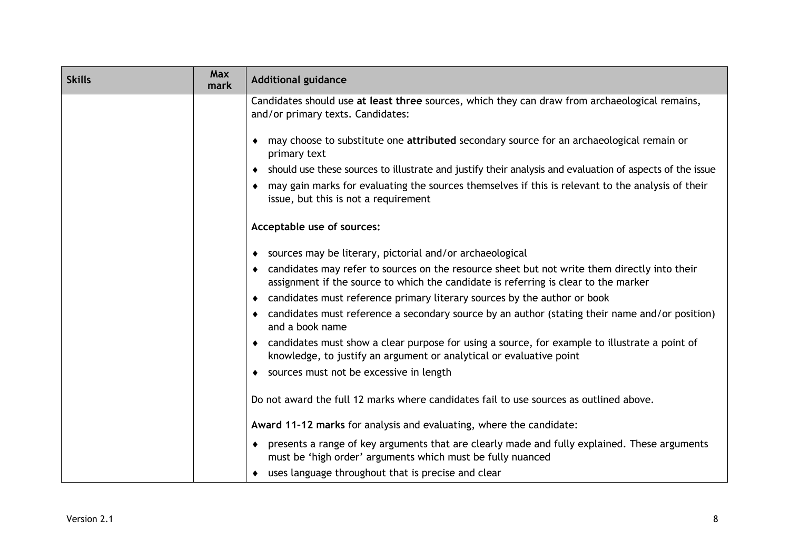| <b>Skills</b> | <b>Max</b><br>mark | <b>Additional guidance</b>                                                                                                                                                                       |
|---------------|--------------------|--------------------------------------------------------------------------------------------------------------------------------------------------------------------------------------------------|
|               |                    | Candidates should use at least three sources, which they can draw from archaeological remains,<br>and/or primary texts. Candidates:                                                              |
|               |                    | may choose to substitute one attributed secondary source for an archaeological remain or<br>٠<br>primary text                                                                                    |
|               |                    | should use these sources to illustrate and justify their analysis and evaluation of aspects of the issue<br>٠                                                                                    |
|               |                    | may gain marks for evaluating the sources themselves if this is relevant to the analysis of their<br>$\bullet$<br>issue, but this is not a requirement                                           |
|               |                    | Acceptable use of sources:                                                                                                                                                                       |
|               |                    | sources may be literary, pictorial and/or archaeological<br>٠                                                                                                                                    |
|               |                    | candidates may refer to sources on the resource sheet but not write them directly into their<br>$\bullet$<br>assignment if the source to which the candidate is referring is clear to the marker |
|               |                    | candidates must reference primary literary sources by the author or book<br>٠                                                                                                                    |
|               |                    | candidates must reference a secondary source by an author (stating their name and/or position)<br>٠<br>and a book name                                                                           |
|               |                    | • candidates must show a clear purpose for using a source, for example to illustrate a point of<br>knowledge, to justify an argument or analytical or evaluative point                           |
|               |                    | sources must not be excessive in length                                                                                                                                                          |
|               |                    | Do not award the full 12 marks where candidates fail to use sources as outlined above.                                                                                                           |
|               |                    | Award 11-12 marks for analysis and evaluating, where the candidate:                                                                                                                              |
|               |                    | presents a range of key arguments that are clearly made and fully explained. These arguments<br>must be 'high order' arguments which must be fully nuanced                                       |
|               |                    | uses language throughout that is precise and clear                                                                                                                                               |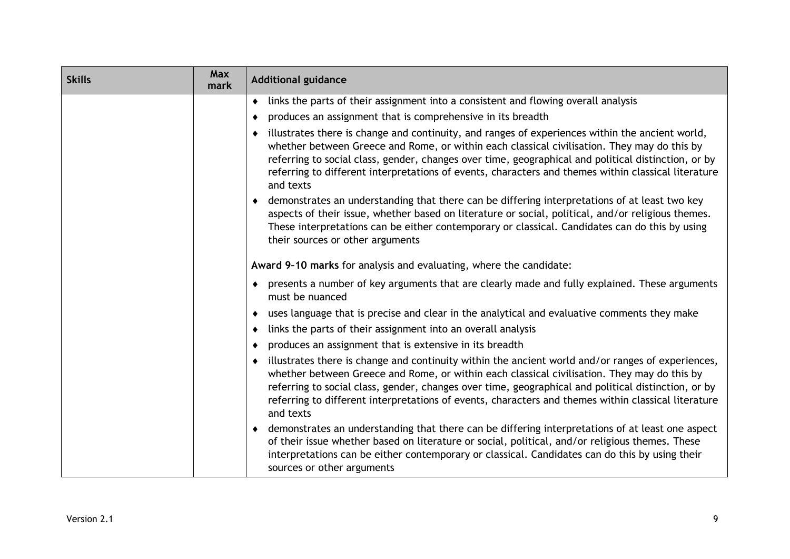| <b>Skills</b> | Max<br>mark | <b>Additional guidance</b>                                                                                                                                                                                                                                                                                                                                                                                                               |
|---------------|-------------|------------------------------------------------------------------------------------------------------------------------------------------------------------------------------------------------------------------------------------------------------------------------------------------------------------------------------------------------------------------------------------------------------------------------------------------|
|               |             | links the parts of their assignment into a consistent and flowing overall analysis<br>٠                                                                                                                                                                                                                                                                                                                                                  |
|               |             | produces an assignment that is comprehensive in its breadth<br>٠                                                                                                                                                                                                                                                                                                                                                                         |
|               |             | illustrates there is change and continuity, and ranges of experiences within the ancient world,<br>whether between Greece and Rome, or within each classical civilisation. They may do this by<br>referring to social class, gender, changes over time, geographical and political distinction, or by<br>referring to different interpretations of events, characters and themes within classical literature<br>and texts                |
|               |             | demonstrates an understanding that there can be differing interpretations of at least two key<br>aspects of their issue, whether based on literature or social, political, and/or religious themes.<br>These interpretations can be either contemporary or classical. Candidates can do this by using<br>their sources or other arguments                                                                                                |
|               |             | Award 9-10 marks for analysis and evaluating, where the candidate:                                                                                                                                                                                                                                                                                                                                                                       |
|               |             | presents a number of key arguments that are clearly made and fully explained. These arguments<br>$\bullet$<br>must be nuanced                                                                                                                                                                                                                                                                                                            |
|               |             | uses language that is precise and clear in the analytical and evaluative comments they make<br>$\bullet$                                                                                                                                                                                                                                                                                                                                 |
|               |             | links the parts of their assignment into an overall analysis<br>٠                                                                                                                                                                                                                                                                                                                                                                        |
|               |             | produces an assignment that is extensive in its breadth<br>٠                                                                                                                                                                                                                                                                                                                                                                             |
|               |             | illustrates there is change and continuity within the ancient world and/or ranges of experiences,<br>$\bullet$<br>whether between Greece and Rome, or within each classical civilisation. They may do this by<br>referring to social class, gender, changes over time, geographical and political distinction, or by<br>referring to different interpretations of events, characters and themes within classical literature<br>and texts |
|               |             | demonstrates an understanding that there can be differing interpretations of at least one aspect<br>of their issue whether based on literature or social, political, and/or religious themes. These<br>interpretations can be either contemporary or classical. Candidates can do this by using their<br>sources or other arguments                                                                                                      |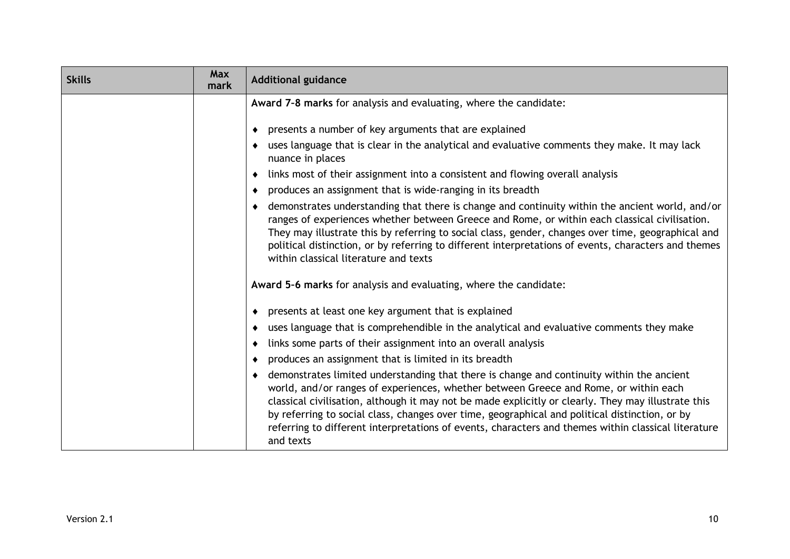| <b>Skills</b> | Max<br>mark | <b>Additional guidance</b>                                                                                                                                                                                                                                                                                                                                                                                                                                                                                          |
|---------------|-------------|---------------------------------------------------------------------------------------------------------------------------------------------------------------------------------------------------------------------------------------------------------------------------------------------------------------------------------------------------------------------------------------------------------------------------------------------------------------------------------------------------------------------|
|               |             | Award 7-8 marks for analysis and evaluating, where the candidate:                                                                                                                                                                                                                                                                                                                                                                                                                                                   |
|               |             | presents a number of key arguments that are explained<br>٠                                                                                                                                                                                                                                                                                                                                                                                                                                                          |
|               |             | uses language that is clear in the analytical and evaluative comments they make. It may lack<br>٠<br>nuance in places                                                                                                                                                                                                                                                                                                                                                                                               |
|               |             | links most of their assignment into a consistent and flowing overall analysis                                                                                                                                                                                                                                                                                                                                                                                                                                       |
|               |             | produces an assignment that is wide-ranging in its breadth<br>٠                                                                                                                                                                                                                                                                                                                                                                                                                                                     |
|               |             | demonstrates understanding that there is change and continuity within the ancient world, and/or<br>٠<br>ranges of experiences whether between Greece and Rome, or within each classical civilisation.<br>They may illustrate this by referring to social class, gender, changes over time, geographical and<br>political distinction, or by referring to different interpretations of events, characters and themes<br>within classical literature and texts                                                        |
|               |             | Award 5-6 marks for analysis and evaluating, where the candidate:                                                                                                                                                                                                                                                                                                                                                                                                                                                   |
|               |             | presents at least one key argument that is explained<br>٠                                                                                                                                                                                                                                                                                                                                                                                                                                                           |
|               |             | uses language that is comprehendible in the analytical and evaluative comments they make<br>٠                                                                                                                                                                                                                                                                                                                                                                                                                       |
|               |             | links some parts of their assignment into an overall analysis                                                                                                                                                                                                                                                                                                                                                                                                                                                       |
|               |             | produces an assignment that is limited in its breadth<br>٠                                                                                                                                                                                                                                                                                                                                                                                                                                                          |
|               |             | demonstrates limited understanding that there is change and continuity within the ancient<br>٠<br>world, and/or ranges of experiences, whether between Greece and Rome, or within each<br>classical civilisation, although it may not be made explicitly or clearly. They may illustrate this<br>by referring to social class, changes over time, geographical and political distinction, or by<br>referring to different interpretations of events, characters and themes within classical literature<br>and texts |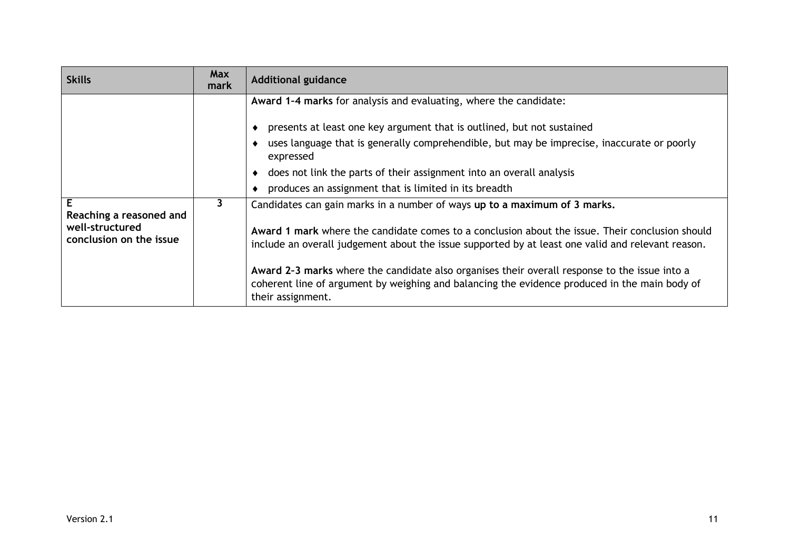| <b>Skills</b>                              | <b>Max</b><br>mark | <b>Additional guidance</b>                                                                                                                                                                                          |
|--------------------------------------------|--------------------|---------------------------------------------------------------------------------------------------------------------------------------------------------------------------------------------------------------------|
|                                            |                    | Award 1-4 marks for analysis and evaluating, where the candidate:                                                                                                                                                   |
|                                            |                    | presents at least one key argument that is outlined, but not sustained                                                                                                                                              |
|                                            |                    | uses language that is generally comprehendible, but may be imprecise, inaccurate or poorly<br>expressed                                                                                                             |
|                                            |                    | • does not link the parts of their assignment into an overall analysis                                                                                                                                              |
|                                            |                    | • produces an assignment that is limited in its breadth                                                                                                                                                             |
| Е<br>Reaching a reasoned and               | 3                  | Candidates can gain marks in a number of ways up to a maximum of 3 marks.                                                                                                                                           |
| well-structured<br>conclusion on the issue |                    | Award 1 mark where the candidate comes to a conclusion about the issue. Their conclusion should<br>include an overall judgement about the issue supported by at least one valid and relevant reason.                |
|                                            |                    | Award 2-3 marks where the candidate also organises their overall response to the issue into a<br>coherent line of argument by weighing and balancing the evidence produced in the main body of<br>their assignment. |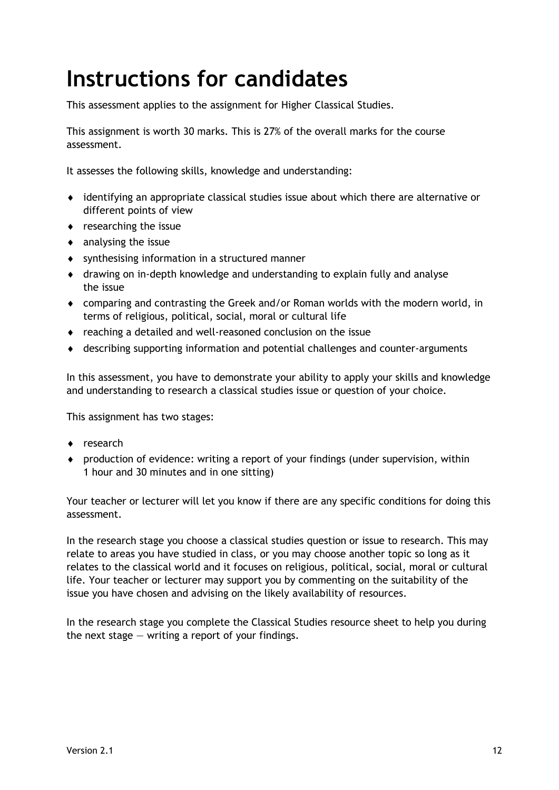## <span id="page-13-0"></span>**Instructions for candidates**

This assessment applies to the assignment for Higher Classical Studies.

This assignment is worth 30 marks. This is 27% of the overall marks for the course assessment.

It assesses the following skills, knowledge and understanding:

- identifying an appropriate classical studies issue about which there are alternative or different points of view
- researching the issue
- $\bullet$  analysing the issue
- synthesising information in a structured manner
- drawing on in-depth knowledge and understanding to explain fully and analyse the issue
- comparing and contrasting the Greek and/or Roman worlds with the modern world, in terms of religious, political, social, moral or cultural life
- reaching a detailed and well-reasoned conclusion on the issue
- describing supporting information and potential challenges and counter-arguments

In this assessment, you have to demonstrate your ability to apply your skills and knowledge and understanding to research a classical studies issue or question of your choice.

This assignment has two stages:

- ◆ research
- production of evidence: writing a report of your findings (under supervision, within 1 hour and 30 minutes and in one sitting)

Your teacher or lecturer will let you know if there are any specific conditions for doing this assessment.

In the research stage you choose a classical studies question or issue to research. This may relate to areas you have studied in class, or you may choose another topic so long as it relates to the classical world and it focuses on religious, political, social, moral or cultural life. Your teacher or lecturer may support you by commenting on the suitability of the issue you have chosen and advising on the likely availability of resources.

In the research stage you complete the Classical Studies resource sheet to help you during the next stage  $-$  writing a report of your findings.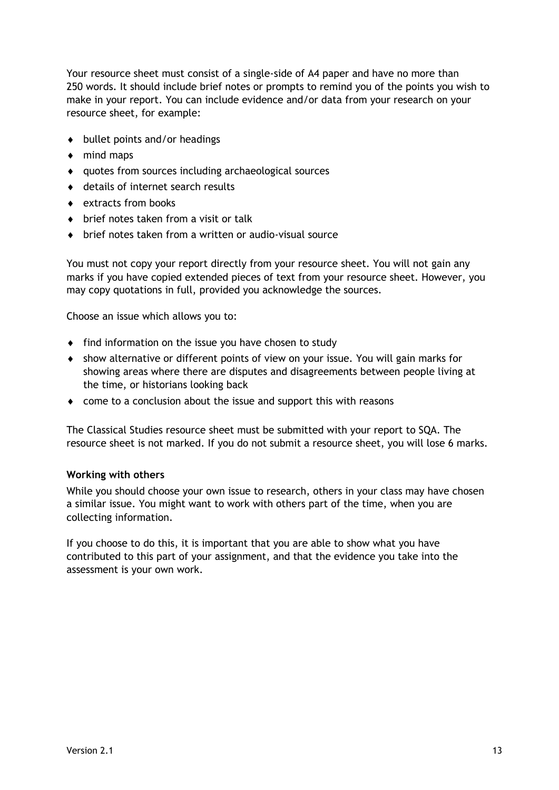Your resource sheet must consist of a single-side of A4 paper and have no more than 250 words. It should include brief notes or prompts to remind you of the points you wish to make in your report. You can include evidence and/or data from your research on your resource sheet, for example:

- $\bullet$  bullet points and/or headings
- $\bullet$  mind maps
- quotes from sources including archaeological sources
- ◆ details of internet search results
- ◆ extracts from books
- ◆ brief notes taken from a visit or talk
- brief notes taken from a written or audio-visual source

You must not copy your report directly from your resource sheet. You will not gain any marks if you have copied extended pieces of text from your resource sheet. However, you may copy quotations in full, provided you acknowledge the sources.

Choose an issue which allows you to:

- $\bullet$  find information on the issue you have chosen to study
- show alternative or different points of view on your issue. You will gain marks for showing areas where there are disputes and disagreements between people living at the time, or historians looking back
- come to a conclusion about the issue and support this with reasons

The Classical Studies resource sheet must be submitted with your report to SQA. The resource sheet is not marked. If you do not submit a resource sheet, you will lose 6 marks.

#### **Working with others**

While you should choose your own issue to research, others in your class may have chosen a similar issue. You might want to work with others part of the time, when you are collecting information.

If you choose to do this, it is important that you are able to show what you have contributed to this part of your assignment, and that the evidence you take into the assessment is your own work.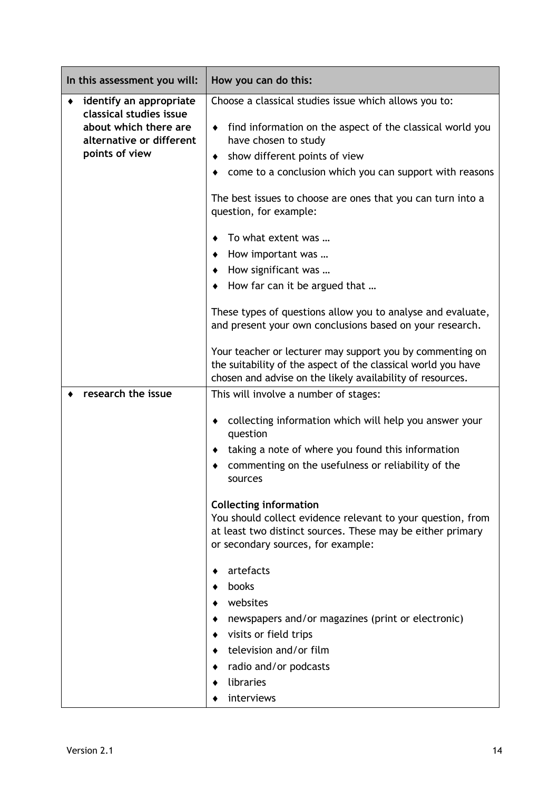| In this assessment you will:                                                                                              | How you can do this:                                                                                                                                                                                                                        |
|---------------------------------------------------------------------------------------------------------------------------|---------------------------------------------------------------------------------------------------------------------------------------------------------------------------------------------------------------------------------------------|
| identify an appropriate<br>classical studies issue<br>about which there are<br>alternative or different<br>points of view | Choose a classical studies issue which allows you to:<br>find information on the aspect of the classical world you<br>have chosen to study<br>show different points of view<br>٠<br>come to a conclusion which you can support with reasons |
|                                                                                                                           | The best issues to choose are ones that you can turn into a<br>question, for example:                                                                                                                                                       |
|                                                                                                                           | To what extent was                                                                                                                                                                                                                          |
|                                                                                                                           | How important was                                                                                                                                                                                                                           |
|                                                                                                                           | How significant was                                                                                                                                                                                                                         |
|                                                                                                                           | How far can it be argued that                                                                                                                                                                                                               |
|                                                                                                                           | These types of questions allow you to analyse and evaluate,<br>and present your own conclusions based on your research.                                                                                                                     |
|                                                                                                                           | Your teacher or lecturer may support you by commenting on<br>the suitability of the aspect of the classical world you have<br>chosen and advise on the likely availability of resources.                                                    |
| research the issue                                                                                                        | This will involve a number of stages:                                                                                                                                                                                                       |
|                                                                                                                           | collecting information which will help you answer your<br>٠<br>question                                                                                                                                                                     |
|                                                                                                                           | taking a note of where you found this information                                                                                                                                                                                           |
|                                                                                                                           | commenting on the usefulness or reliability of the<br>sources                                                                                                                                                                               |
|                                                                                                                           | <b>Collecting information</b><br>You should collect evidence relevant to your question, from<br>at least two distinct sources. These may be either primary<br>or secondary sources, for example:                                            |
|                                                                                                                           | artefacts<br>books<br>websites                                                                                                                                                                                                              |
|                                                                                                                           | newspapers and/or magazines (print or electronic)                                                                                                                                                                                           |
|                                                                                                                           | visits or field trips                                                                                                                                                                                                                       |
|                                                                                                                           | television and/or film                                                                                                                                                                                                                      |
|                                                                                                                           | radio and/or podcasts                                                                                                                                                                                                                       |
|                                                                                                                           | libraries                                                                                                                                                                                                                                   |
|                                                                                                                           | interviews                                                                                                                                                                                                                                  |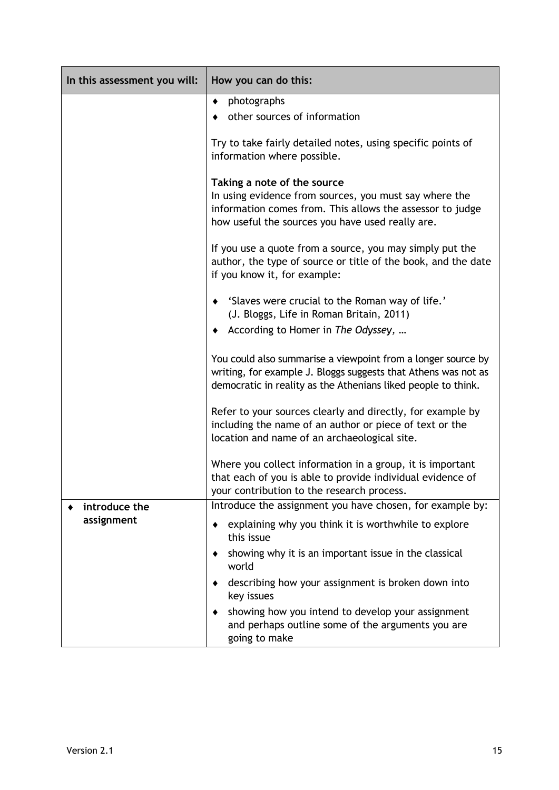| In this assessment you will: | How you can do this:                                                                                                                                                                                   |
|------------------------------|--------------------------------------------------------------------------------------------------------------------------------------------------------------------------------------------------------|
|                              | photographs<br>٠                                                                                                                                                                                       |
|                              | other sources of information                                                                                                                                                                           |
|                              | Try to take fairly detailed notes, using specific points of<br>information where possible.                                                                                                             |
|                              | Taking a note of the source<br>In using evidence from sources, you must say where the<br>information comes from. This allows the assessor to judge<br>how useful the sources you have used really are. |
|                              | If you use a quote from a source, you may simply put the<br>author, the type of source or title of the book, and the date<br>if you know it, for example:                                              |
|                              | 'Slaves were crucial to the Roman way of life.'<br>٠<br>(J. Bloggs, Life in Roman Britain, 2011)                                                                                                       |
|                              | According to Homer in The Odyssey,<br>٠                                                                                                                                                                |
|                              | You could also summarise a viewpoint from a longer source by<br>writing, for example J. Bloggs suggests that Athens was not as<br>democratic in reality as the Athenians liked people to think.        |
|                              | Refer to your sources clearly and directly, for example by<br>including the name of an author or piece of text or the<br>location and name of an archaeological site.                                  |
|                              | Where you collect information in a group, it is important<br>that each of you is able to provide individual evidence of<br>your contribution to the research process.                                  |
| introduce the                | Introduce the assignment you have chosen, for example by:                                                                                                                                              |
| assignment                   | explaining why you think it is worthwhile to explore<br>this issue                                                                                                                                     |
|                              | showing why it is an important issue in the classical<br>world                                                                                                                                         |
|                              | describing how your assignment is broken down into<br>key issues                                                                                                                                       |
|                              | showing how you intend to develop your assignment<br>and perhaps outline some of the arguments you are<br>going to make                                                                                |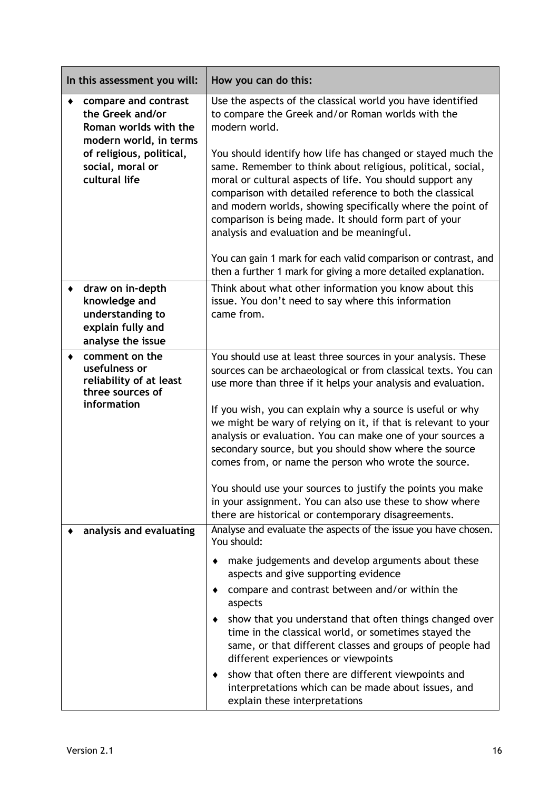| In this assessment you will:                                                                                                                                 | How you can do this:                                                                                                                                                                                                                                                                                                                                                                                                                                                                                                                                                                                                                                                                              |
|--------------------------------------------------------------------------------------------------------------------------------------------------------------|---------------------------------------------------------------------------------------------------------------------------------------------------------------------------------------------------------------------------------------------------------------------------------------------------------------------------------------------------------------------------------------------------------------------------------------------------------------------------------------------------------------------------------------------------------------------------------------------------------------------------------------------------------------------------------------------------|
| compare and contrast<br>the Greek and/or<br>Roman worlds with the<br>modern world, in terms<br>of religious, political,<br>social, moral or<br>cultural life | Use the aspects of the classical world you have identified<br>to compare the Greek and/or Roman worlds with the<br>modern world.<br>You should identify how life has changed or stayed much the<br>same. Remember to think about religious, political, social,<br>moral or cultural aspects of life. You should support any<br>comparison with detailed reference to both the classical<br>and modern worlds, showing specifically where the point of<br>comparison is being made. It should form part of your<br>analysis and evaluation and be meaningful.                                                                                                                                      |
|                                                                                                                                                              | You can gain 1 mark for each valid comparison or contrast, and<br>then a further 1 mark for giving a more detailed explanation.                                                                                                                                                                                                                                                                                                                                                                                                                                                                                                                                                                   |
| draw on in-depth<br>knowledge and<br>understanding to<br>explain fully and<br>analyse the issue                                                              | Think about what other information you know about this<br>issue. You don't need to say where this information<br>came from.                                                                                                                                                                                                                                                                                                                                                                                                                                                                                                                                                                       |
| comment on the<br>٠<br>usefulness or<br>reliability of at least<br>three sources of<br>information                                                           | You should use at least three sources in your analysis. These<br>sources can be archaeological or from classical texts. You can<br>use more than three if it helps your analysis and evaluation.<br>If you wish, you can explain why a source is useful or why<br>we might be wary of relying on it, if that is relevant to your<br>analysis or evaluation. You can make one of your sources a<br>secondary source, but you should show where the source<br>comes from, or name the person who wrote the source.<br>You should use your sources to justify the points you make<br>in your assignment. You can also use these to show where<br>there are historical or contemporary disagreements. |
| analysis and evaluating                                                                                                                                      | Analyse and evaluate the aspects of the issue you have chosen.<br>You should:<br>make judgements and develop arguments about these<br>aspects and give supporting evidence<br>compare and contrast between and/or within the<br>aspects<br>show that you understand that often things changed over<br>time in the classical world, or sometimes stayed the<br>same, or that different classes and groups of people had<br>different experiences or viewpoints<br>show that often there are different viewpoints and<br>interpretations which can be made about issues, and<br>explain these interpretations                                                                                       |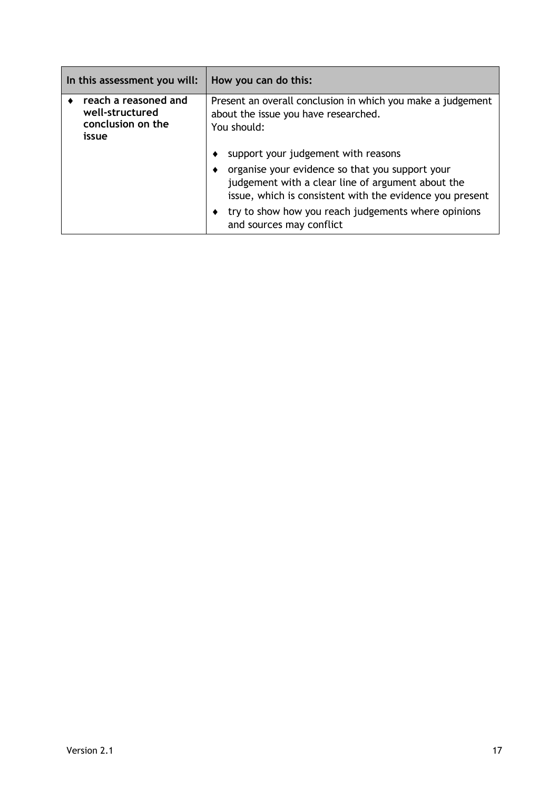| In this assessment you will:                                          | How you can do this:                                                                                                                                             |
|-----------------------------------------------------------------------|------------------------------------------------------------------------------------------------------------------------------------------------------------------|
| reach a reasoned and<br>well-structured<br>conclusion on the<br>issue | Present an overall conclusion in which you make a judgement<br>about the issue you have researched.<br>You should:                                               |
|                                                                       | support your judgement with reasons                                                                                                                              |
|                                                                       | organise your evidence so that you support your<br>judgement with a clear line of argument about the<br>issue, which is consistent with the evidence you present |
|                                                                       | try to show how you reach judgements where opinions<br>and sources may conflict                                                                                  |